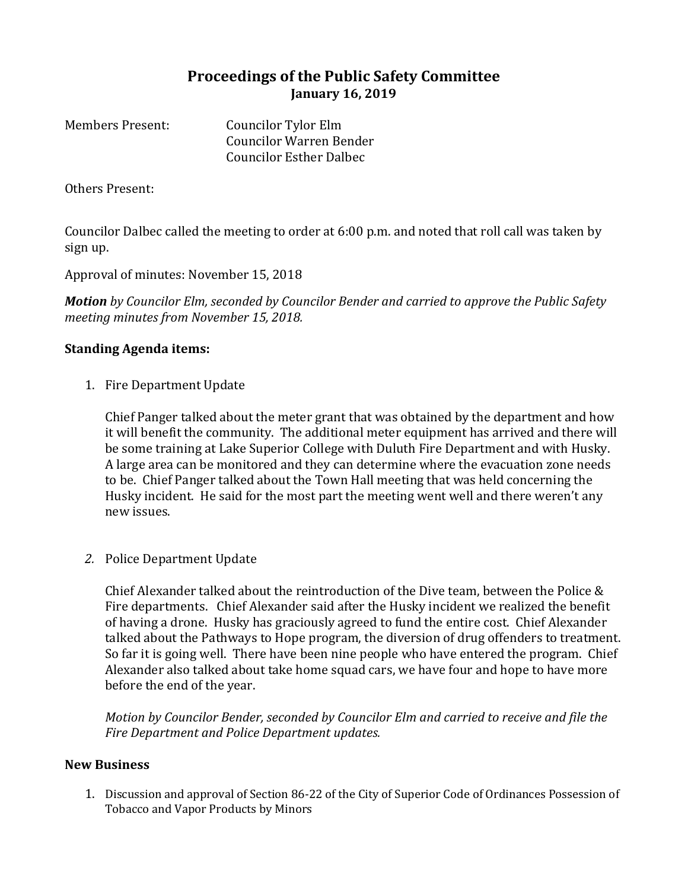## **Proceedings of the Public Safety Committee January 16, 2019**

Members Present: Councilor Tylor Elm Councilor Warren Bender Councilor Esther Dalbec

Others Present:

Councilor Dalbec called the meeting to order at 6:00 p.m. and noted that roll call was taken by sign up.

Approval of minutes: November 15, 2018

*Motion by Councilor Elm, seconded by Councilor Bender and carried to approve the Public Safety meeting minutes from November 15, 2018.*

## **Standing Agenda items:**

1. Fire Department Update

Chief Panger talked about the meter grant that was obtained by the department and how it will benefit the community. The additional meter equipment has arrived and there will be some training at Lake Superior College with Duluth Fire Department and with Husky. A large area can be monitored and they can determine where the evacuation zone needs to be. Chief Panger talked about the Town Hall meeting that was held concerning the Husky incident. He said for the most part the meeting went well and there weren't any new issues.

*2.* Police Department Update

Chief Alexander talked about the reintroduction of the Dive team, between the Police & Fire departments. Chief Alexander said after the Husky incident we realized the benefit of having a drone. Husky has graciously agreed to fund the entire cost. Chief Alexander talked about the Pathways to Hope program, the diversion of drug offenders to treatment. So far it is going well. There have been nine people who have entered the program. Chief Alexander also talked about take home squad cars, we have four and hope to have more before the end of the year.

*Motion by Councilor Bender, seconded by Councilor Elm and carried to receive and file the Fire Department and Police Department updates.*

## **New Business**

1. Discussion and approval of Section 86-22 of the City of Superior Code of Ordinances Possession of Tobacco and Vapor Products by Minors